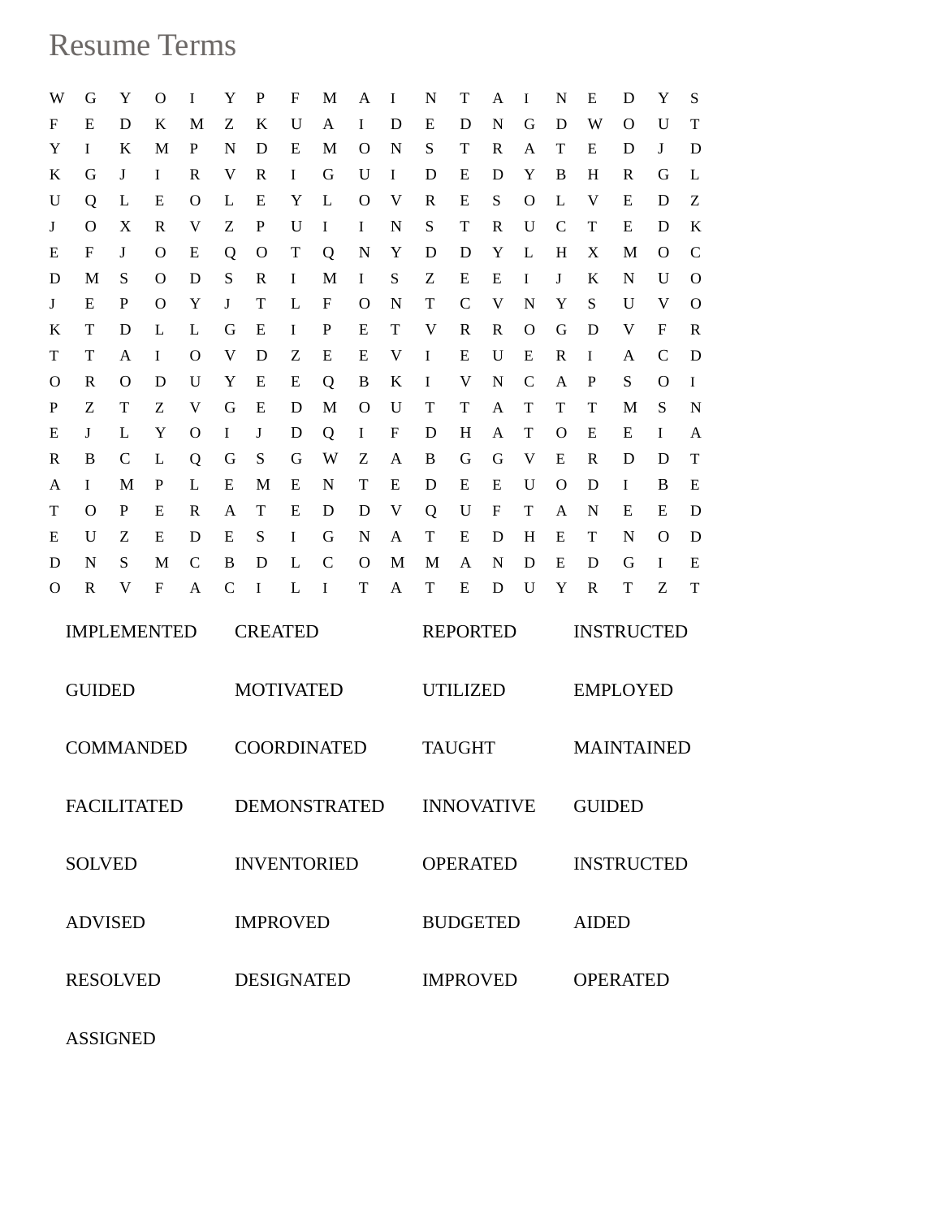## Resume Terms

| W                  | G             | Y              | О                  | I            | Y                   | P            | F      | M             | Α      | Ι      | N      | Т                 | A      | I             | N             | E            | D                 | Y            | S                           |  |  |
|--------------------|---------------|----------------|--------------------|--------------|---------------------|--------------|--------|---------------|--------|--------|--------|-------------------|--------|---------------|---------------|--------------|-------------------|--------------|-----------------------------|--|--|
| F                  | Ε             | D              | Κ                  | M            | Ζ                   | K            | U      | A             | Ι      | D      | Ε      | D                 | N      | G             | D             | W            | O                 | U            | $\mathbf T$                 |  |  |
| Y                  | I             | K              | М                  | P            | N                   | D            | Ε      | M             | O      | N      | S      | Т                 | R      | A             | T             | E            | D                 | J            | D                           |  |  |
| K                  | G             | J              | I                  | R            | V                   | $\mathbb{R}$ | I      | G             | U      | Ι      | D      | E                 | D      | Y             | B             | H            | R                 | G            | L                           |  |  |
| U                  | Q             | L              | E                  | О            | L                   | Ε            | Y      | L             | O      | V      | R      | Ε                 | S      | $\Omega$      | L             | V            | E                 | D            | Z                           |  |  |
| J                  | O             | X              | R                  | V            | Ζ                   | P            | U      | I             | I      | N      | S      | Т                 | R      | U             | $\mathcal{C}$ | T            | E                 | D            | $\rm K$                     |  |  |
| Е                  | F             | J              | O                  | E            | Q                   | $\mathbf{O}$ | T      | Q             | N      | Y      | D      | D                 | Y      | L             | H             | X            | M                 | O            | $\mathcal{C}$               |  |  |
| D                  | M             | S              | O                  | D            | S                   | $\mathbb{R}$ | I      | M             | I      | S      | Ζ      | E                 | E      | I             | J             | K            | N                 | U            | $\Omega$                    |  |  |
| J                  | Ε             | P              | O                  | Y            | J                   | T            | L      | F             | O      | N      | T      | $\mathbf C$       | V      | N             | Y             | S            | U                 | V            | $\mathbf O$                 |  |  |
| K                  | T             | D              | L                  | L            | G                   | Ε            | Ι      | P             | E      | T      | V      | R                 | R      | O             | G             | D            | V                 | F            | R                           |  |  |
| T                  | T             | A              | Ι                  | $\Omega$     | V                   | D            | Ζ      | E             | E      | V      | I      | E                 | U      | E             | R             | I            | Α                 | $\mathsf{C}$ | D                           |  |  |
| $\Omega$           | R             | O              | D                  | U            | Y                   | Ε            | Ε      | Q             | B      | K      | I      | V                 | N      | $\mathcal{C}$ | A             | P            | S                 | O            | I                           |  |  |
| $\mathbf P$        | Ζ<br>J        | T<br>L         | Z<br>Y             | V<br>O       | G<br>I              | Ε<br>J       | D<br>D | M             | O<br>I | U<br>F | Т<br>D | T<br>H            | A<br>A | T<br>T        | T<br>O        | T<br>E       | M<br>Ε            | S<br>I       | $\mathbf N$<br>$\mathbf{A}$ |  |  |
| Ε<br>$\mathbb{R}$  | B             | $\mathcal{C}$  | L                  | Q            | G                   | S            | G      | Q<br>W        | Ζ      | A      | B      | G                 | G      | V             | E             | R            | D                 | D            | T                           |  |  |
| A                  | Ι             | M              | P                  | L            | E                   | M            | Ε      | N             | T      | E      | D      | E                 | Ε      | U             | $\Omega$      | D            | I                 | B            | E                           |  |  |
| T                  | $\Omega$      | P              | E                  | R            | A                   | T            | Ε      | D             | D      | V      | Q      | U                 | F      | T             | A             | N            | E                 | E            | D                           |  |  |
| Ε                  | U             | Z              | E                  | D            | E                   | S            | I      | G             | N      | A      | T      | Е                 | D      | H             | E             | T            | N                 | O            | D                           |  |  |
| D                  | N             | S              | M                  | $\mathsf{C}$ | B                   | D            | L      | $\mathcal{C}$ | O      | M      | M      | A                 | N      | D             | Ε             | D            | G                 | I            | E                           |  |  |
| $\mathbf{O}$       | R             | V              | $\mathbf{F}$       | A            | $\mathsf{C}$        | I            | L      | I             | T      | A      | T      | E                 | D      | U             | Y             | $\mathbb{R}$ | T                 | Ζ            | T                           |  |  |
|                    |               |                |                    |              |                     |              |        |               |        |        |        |                   |        |               |               |              |                   |              |                             |  |  |
| <b>IMPLEMENTED</b> |               |                |                    |              | <b>CREATED</b>      |              |        |               |        |        |        | <b>REPORTED</b>   |        |               |               |              | <b>INSTRUCTED</b> |              |                             |  |  |
|                    | <b>GUIDED</b> |                |                    |              | <b>MOTIVATED</b>    |              |        |               |        |        |        | <b>UTILIZED</b>   |        |               |               |              | <b>EMPLOYED</b>   |              |                             |  |  |
|                    |               |                | <b>COMMANDED</b>   |              | <b>COORDINATED</b>  |              |        |               |        |        |        | <b>TAUGHT</b>     |        |               |               |              | <b>MAINTAINED</b> |              |                             |  |  |
|                    |               |                | <b>FACILITATED</b> |              | <b>DEMONSTRATED</b> |              |        |               |        |        |        | <b>INNOVATIVE</b> |        |               |               |              | <b>GUIDED</b>     |              |                             |  |  |
|                    | <b>SOLVED</b> |                |                    |              | <b>INVENTORIED</b>  |              |        |               |        |        |        | <b>OPERATED</b>   |        |               |               |              | <b>INSTRUCTED</b> |              |                             |  |  |
|                    |               | <b>ADVISED</b> |                    |              | <b>IMPROVED</b>     |              |        |               |        |        |        | <b>BUDGETED</b>   |        |               |               |              | <b>AIDED</b>      |              |                             |  |  |
|                    |               |                |                    |              |                     |              |        |               |        |        |        |                   |        |               |               |              |                   |              |                             |  |  |
| <b>RESOLVED</b>    |               |                |                    |              | <b>DESIGNATED</b>   |              |        |               |        |        |        | <b>IMPROVED</b>   |        |               |               |              | <b>OPERATED</b>   |              |                             |  |  |

ASSIGNED